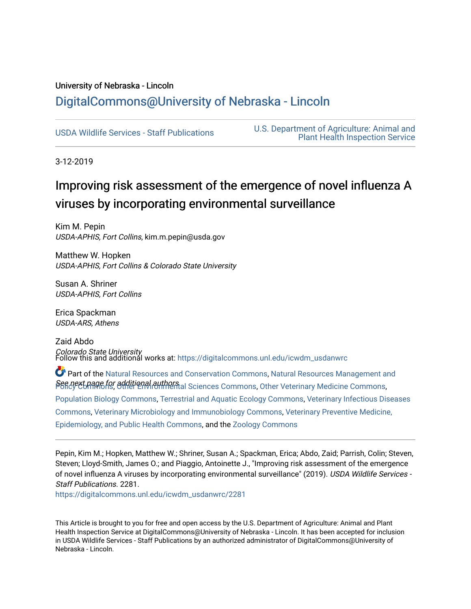## University of Nebraska - Lincoln [DigitalCommons@University of Nebraska - Lincoln](https://digitalcommons.unl.edu/)

[USDA Wildlife Services - Staff Publications](https://digitalcommons.unl.edu/icwdm_usdanwrc) [U.S. Department of Agriculture: Animal and](https://digitalcommons.unl.edu/usdaaphis)  [Plant Health Inspection Service](https://digitalcommons.unl.edu/usdaaphis) 

3-12-2019

# Improving risk assessment of the emergence of novel influenza A viruses by incorporating environmental surveillance

Kim M. Pepin USDA-APHIS, Fort Collins, kim.m.pepin@usda.gov

Matthew W. Hopken USDA-APHIS, Fort Collins & Colorado State University

Susan A. Shriner USDA-APHIS, Fort Collins

Erica Spackman USDA-ARS, Athens

Zaid Abdo *Colorado State University*<br>Follow this and additional works at: [https://digitalcommons.unl.edu/icwdm\\_usdanwrc](https://digitalcommons.unl.edu/icwdm_usdanwrc?utm_source=digitalcommons.unl.edu%2Ficwdm_usdanwrc%2F2281&utm_medium=PDF&utm_campaign=PDFCoverPages)

Sen*gext page for additional authors*<br>Sen*cy Commons, [Other Environmental Sciences Commons](http://network.bepress.com/hgg/discipline/173?utm_source=digitalcommons.unl.edu%2Ficwdm_usdanwrc%2F2281&utm_medium=PDF&utm_campaign=PDFCoverPages), [Other Veterinary Medicine Commons](http://network.bepress.com/hgg/discipline/771?utm_source=digitalcommons.unl.edu%2Ficwdm_usdanwrc%2F2281&utm_medium=PDF&utm_campaign=PDFCoverPages),* Part of the [Natural Resources and Conservation Commons,](http://network.bepress.com/hgg/discipline/168?utm_source=digitalcommons.unl.edu%2Ficwdm_usdanwrc%2F2281&utm_medium=PDF&utm_campaign=PDFCoverPages) [Natural Resources Management and](http://network.bepress.com/hgg/discipline/170?utm_source=digitalcommons.unl.edu%2Ficwdm_usdanwrc%2F2281&utm_medium=PDF&utm_campaign=PDFCoverPages) [Population Biology Commons,](http://network.bepress.com/hgg/discipline/19?utm_source=digitalcommons.unl.edu%2Ficwdm_usdanwrc%2F2281&utm_medium=PDF&utm_campaign=PDFCoverPages) [Terrestrial and Aquatic Ecology Commons,](http://network.bepress.com/hgg/discipline/20?utm_source=digitalcommons.unl.edu%2Ficwdm_usdanwrc%2F2281&utm_medium=PDF&utm_campaign=PDFCoverPages) [Veterinary Infectious Diseases](http://network.bepress.com/hgg/discipline/770?utm_source=digitalcommons.unl.edu%2Ficwdm_usdanwrc%2F2281&utm_medium=PDF&utm_campaign=PDFCoverPages)  [Commons](http://network.bepress.com/hgg/discipline/770?utm_source=digitalcommons.unl.edu%2Ficwdm_usdanwrc%2F2281&utm_medium=PDF&utm_campaign=PDFCoverPages), [Veterinary Microbiology and Immunobiology Commons,](http://network.bepress.com/hgg/discipline/763?utm_source=digitalcommons.unl.edu%2Ficwdm_usdanwrc%2F2281&utm_medium=PDF&utm_campaign=PDFCoverPages) [Veterinary Preventive Medicine,](http://network.bepress.com/hgg/discipline/769?utm_source=digitalcommons.unl.edu%2Ficwdm_usdanwrc%2F2281&utm_medium=PDF&utm_campaign=PDFCoverPages)  [Epidemiology, and Public Health Commons,](http://network.bepress.com/hgg/discipline/769?utm_source=digitalcommons.unl.edu%2Ficwdm_usdanwrc%2F2281&utm_medium=PDF&utm_campaign=PDFCoverPages) and the [Zoology Commons](http://network.bepress.com/hgg/discipline/81?utm_source=digitalcommons.unl.edu%2Ficwdm_usdanwrc%2F2281&utm_medium=PDF&utm_campaign=PDFCoverPages)

Pepin, Kim M.; Hopken, Matthew W.; Shriner, Susan A.; Spackman, Erica; Abdo, Zaid; Parrish, Colin; Steven, Steven; Lloyd-Smith, James O.; and Piaggio, Antoinette J., "Improving risk assessment of the emergence of novel influenza A viruses by incorporating environmental surveillance" (2019). USDA Wildlife Services - Staff Publications. 2281.

[https://digitalcommons.unl.edu/icwdm\\_usdanwrc/2281](https://digitalcommons.unl.edu/icwdm_usdanwrc/2281?utm_source=digitalcommons.unl.edu%2Ficwdm_usdanwrc%2F2281&utm_medium=PDF&utm_campaign=PDFCoverPages) 

This Article is brought to you for free and open access by the U.S. Department of Agriculture: Animal and Plant Health Inspection Service at DigitalCommons@University of Nebraska - Lincoln. It has been accepted for inclusion in USDA Wildlife Services - Staff Publications by an authorized administrator of DigitalCommons@University of Nebraska - Lincoln.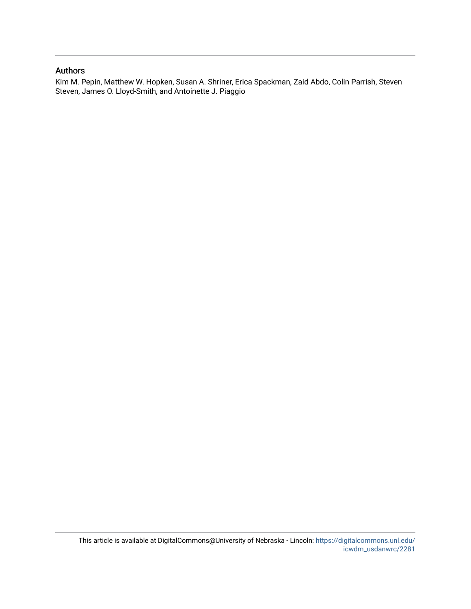#### Authors

Kim M. Pepin, Matthew W. Hopken, Susan A. Shriner, Erica Spackman, Zaid Abdo, Colin Parrish, Steven Steven, James O. Lloyd-Smith, and Antoinette J. Piaggio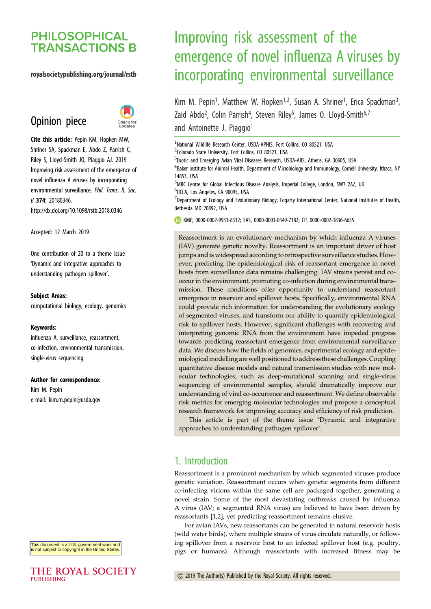## **PHILOSOPHICAL TRANSACTIONS B**

#### royalsocietypublishing.org/journal/rstb

## Opinion piece



Cite this article: Pepin KM, Hopken MW, Shriner SA, Spackman E, Abdo Z, Parrish C, Riley S, Lloyd-Smith JO, Piaggio AJ. 2019 Improving risk assessment of the emergence of novel influenza A viruses by incorporating environmental surveillance. Phil. Trans. R. Soc. B 374: 20180346. http://dx.doi.org/10.1098/rstb.2018.0346

Accepted: 12 March 2019

One contribution of 20 to a theme issue ['Dynamic and integrative approaches to](http://dx.doi.org/10.1098/rstb/374/1782) [understanding pathogen spillover](http://dx.doi.org/10.1098/rstb/374/1782)'.

#### Subject Areas:

computational biology, ecology, genomics

#### Keywords:

influenza A, surveillance, reassortment, co-infection, environmental transmission, single-virus sequencing

#### Author for correspondence:

Kim M. Pepin e-mail: [kim.m.pepin@usda.gov](mailto:kim.m.pepin@usda.gov)

This document is a U.S. government work and is not subject to copyright in the United States.



# Improving risk assessment of the emergence of novel influenza A viruses by incorporating environmental surveillance

Kim M. Pepin<sup>1</sup>, Matthew W. Hopken<sup>1,2</sup>, Susan A. Shriner<sup>1</sup>, Erica Spackman<sup>3</sup> , Zaid Abdo<sup>2</sup>, Colin Parrish<sup>4</sup>, Steven Riley<sup>5</sup>, James O. Lloyd-Smith<sup>6,7</sup> and Antoinette J. Piaggio<sup>1</sup>

<sup>1</sup>National Wildlife Research Center, USDA-APHIS, Fort Collins, CO 80521, USA

<sup>2</sup>Colorado State University, Fort Collins, CO 80523, USA

<sup>3</sup> Exotic and Emerging Avian Viral Diseases Research, USDA-ARS, Athens, GA 30605, USA

4 Baker Institute for Animal Health, Department of Microbiology and Immunology, Cornell University, Ithaca, NY 14853, USA

<sup>5</sup>MRC Centre for Global Infectious Disease Analysis, Imperial College, London, SW7 2AZ, UK 6 UCLA, Los Angeles, CA 90095, USA

 $^7$ Department of Ecology and Evolutionary Biology, Fogarty International Center, National Institutes of Health, Bethesda MD 20892, USA

KMP, [0000-0002-9931-8312](http://orcid.org/0000-0002-9931-8312); SAS, [0000-0003-0349-7182](http://orcid.org/0000-0003-0349-7182); CP, [0000-0002-1836-6655](http://orcid.org/0000-0002-1836-6655)

Reassortment is an evolutionary mechanism by which influenza A viruses (IAV) generate genetic novelty. Reassortment is an important driver of host jumps and is widespread according to retrospective surveillance studies. However, predicting the epidemiological risk of reassortant emergence in novel hosts from surveillance data remains challenging. IAV strains persist and cooccur in the environment, promoting co-infection during environmental transmission. These conditions offer opportunity to understand reassortant emergence in reservoir and spillover hosts. Specifically, environmental RNA could provide rich information for understanding the evolutionary ecology of segmented viruses, and transform our ability to quantify epidemiological risk to spillover hosts. However, significant challenges with recovering and interpreting genomic RNA from the environment have impeded progress towards predicting reassortant emergence from environmental surveillance data. We discuss how the fields of genomics, experimental ecology and epidemiological modelling are well positioned to address these challenges. Coupling quantitative disease models and natural transmission studies with new molecular technologies, such as deep-mutational scanning and single-virus sequencing of environmental samples, should dramatically improve our understanding of viral co-occurrence and reassortment. We define observable risk metrics for emerging molecular technologies and propose a conceptual research framework for improving accuracy and efficiency of risk prediction.

This article is part of the theme issue 'Dynamic and integrative approaches to understanding pathogen spillover'.

### 1. Introduction

Reassortment is a prominent mechanism by which segmented viruses produce genetic variation. Reassortment occurs when genetic segments from different co-infecting virions within the same cell are packaged together, generating a novel strain. Some of the most devastating outbreaks caused by influenza A virus (IAV; a segmented RNA virus) are believed to have been driven by reassortants [[1](#page-9-0),[2](#page-9-0)], yet predicting reassortment remains elusive.

For avian IAVs, new reassortants can be generated in natural reservoir hosts (wild water birds), where multiple strains of virus circulate naturally, or following spillover from a reservoir host to an infected spillover host (e.g. poultry, pigs or humans). Although reassortants with increased fitness may be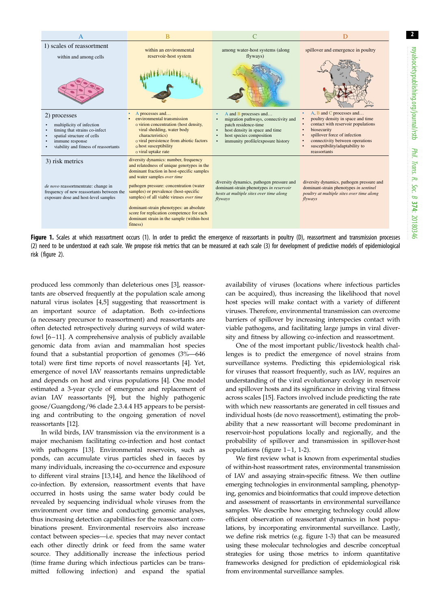<span id="page-3-0"></span>

Figure 1. Scales at which reassortment occurs (1). In order to predict the emergence of reassortants in poultry (D), reassortment and transmission processes (2) need to be understood at each scale. We propose risk metrics that can be measured at each scale (3) for development of predictive models of epidemiological risk ([figure 2](#page-5-0)).

produced less commonly than deleterious ones [[3](#page-9-0)], reassortants are observed frequently at the population scale among natural virus isolates [\[4,5](#page-9-0)] suggesting that reassortment is an important source of adaptation. Both co-infections (a necessary precursor to reassortment) and reassortants are often detected retrospectively during surveys of wild waterfowl [\[6](#page-9-0) –[11](#page-9-0)]. A comprehensive analysis of publicly available genomic data from avian and mammalian host species found that a substantial proportion of genomes (3%—646 total) were first time reports of novel reassortants [[4](#page-9-0)]. Yet, emergence of novel IAV reassortants remains unpredictable and depends on host and virus populations [[4](#page-9-0)]. One model estimated a 3-year cycle of emergence and replacement of avian IAV reassortants [[9](#page-9-0)], but the highly pathogenic goose/Guangdong/96 clade 2.3.4.4 H5 appears to be persisting and contributing to the ongoing generation of novel reassortants [\[12](#page-9-0)].

In wild birds, IAV transmission via the environment is a major mechanism facilitating co-infection and host contact with pathogens [\[13](#page-9-0)]. Environmental reservoirs, such as ponds, can accumulate virus particles shed in faeces by many individuals, increasing the co-occurrence and exposure to different viral strains [[13,14](#page-9-0)], and hence the likelihood of co-infection. By extension, reassortment events that have occurred in hosts using the same water body could be revealed by sequencing individual whole viruses from the environment over time and conducting genomic analyses, thus increasing detection capabilities for the reassortant combinations present. Environmental reservoirs also increase contact between species—i.e. species that may never contact each other directly drink or feed from the same water source. They additionally increase the infectious period (time frame during which infectious particles can be transmitted following infection) and expand the spatial availability of viruses (locations where infectious particles can be acquired), thus increasing the likelihood that novel host species will make contact with a variety of different viruses. Therefore, environmental transmission can overcome barriers of spillover by increasing interspecies contact with viable pathogens, and facilitating large jumps in viral diversity and fitness by allowing co-infection and reassortment.

One of the most important public/livestock health challenges is to predict the emergence of novel strains from surveillance systems. Predicting this epidemiological risk for viruses that reassort frequently, such as IAV, requires an understanding of the viral evolutionary ecology in reservoir and spillover hosts and its significance in driving viral fitness across scales [[15\]](#page-9-0). Factors involved include predicting the rate with which new reassortants are generated in cell tissues and individual hosts (de novo reassortment), estimating the probability that a new reassortant will become predominant in reservoir-host populations locally and regionally, and the probability of spillover and transmission in spillover-host populations (figure 1–1, 1-2).

We first review what is known from experimental studies of within-host reassortment rates, environmental transmission of IAV and assaying strain-specific fitness. We then outline emerging technologies in environmental sampling, phenotyping, genomics and bioinformatics that could improve detection and assessment of reassortants in environmental surveillance samples. We describe how emerging technology could allow efficient observation of reassortant dynamics in host populations, by incorporating environmental surveillance. Lastly, we define risk metrics (e.g. figure 1-3) that can be measured using these molecular technologies and describe conceptual strategies for using those metrics to inform quantitative frameworks designed for prediction of epidemiological risk from environmental surveillance samples.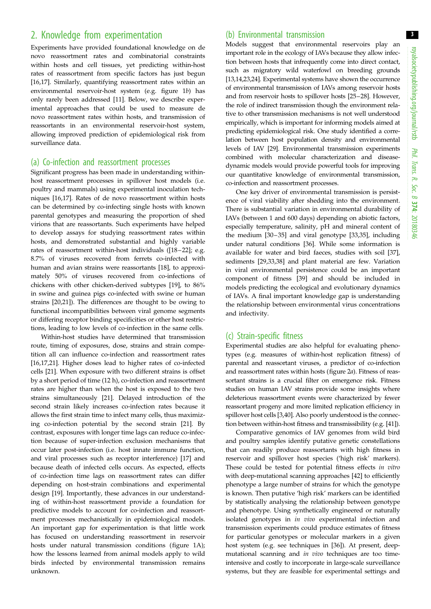## 2. Knowledge from experimentation

Experiments have provided foundational knowledge on de novo reassortment rates and combinatorial constraints within hosts and cell tissues, yet predicting within-host rates of reassortment from specific factors has just begun [\[16](#page-9-0),[17\]](#page-9-0). Similarly, quantifying reassortment rates within an environmental reservoir-host system (e.g. [figure 1](#page-3-0)b) has only rarely been addressed [\[11](#page-9-0)]. Below, we describe experimental approaches that could be used to measure de novo reassortment rates within hosts, and transmission of reassortants in an environmental reservoir-host system, allowing improved prediction of epidemiological risk from surveillance data.

#### (a) Co-infection and reassortment processes

Significant progress has been made in understanding withinhost reassortment processes in spillover host models (i.e. poultry and mammals) using experimental inoculation techniques [\[16](#page-9-0),[17\]](#page-9-0). Rates of de novo reassortment within hosts can be determined by co-infecting single hosts with known parental genotypes and measuring the proportion of shed virions that are reassortants. Such experiments have helped to develop assays for studying reassortment rates within hosts, and demonstrated substantial and highly variable rates of reassortment within-host individuals ([\[18](#page-9-0)–22]; e.g. 8.7% of viruses recovered from ferrets co-infected with human and avian strains were reassortants [[18\]](#page-9-0), to approximately 50% of viruses recovered from co-infections of chickens with other chicken-derived subtypes [[19\]](#page-9-0), to 86% in swine and guinea pigs co-infected with swine or human strains [[20,21](#page-9-0)]). The differences are thought to be owing to functional incompatibilities between viral genome segments or differing receptor binding specificities or other host restrictions, leading to low levels of co-infection in the same cells.

Within-host studies have determined that transmission route, timing of exposures, dose, strains and strain competition all can influence co-infection and reassortment rates [\[16](#page-9-0),[17,21\]](#page-9-0). Higher doses lead to higher rates of co-infected cells [\[21](#page-9-0)]. When exposure with two different strains is offset by a short period of time (12 h), co-infection and reassortment rates are higher than when the host is exposed to the two strains simultaneously [[21\]](#page-9-0). Delayed introduction of the second strain likely increases co-infection rates because it allows the first strain time to infect many cells, thus maximizing co-infection potential by the second strain [[21\]](#page-9-0). By contrast, exposures with longer time lags can reduce co-infection because of super-infection exclusion mechanisms that occur later post-infection (i.e. host innate immune function, and viral processes such as receptor interference) [\[17](#page-9-0)] and because death of infected cells occurs. As expected, effects of co-infection time lags on reassortment rates can differ depending on host-strain combinations and experimental design [[19\]](#page-9-0). Importantly, these advances in our understanding of within-host reassortment provide a foundation for predictive models to account for co-infection and reassortment processes mechanistically in epidemiological models. An important gap for experimentation is that little work has focused on understanding reassortment in reservoir hosts under natural transmission conditions [\(figure 1](#page-3-0)A); how the lessons learned from animal models apply to wild birds infected by environmental transmission remains unknown.

#### (b) Environmental transmission

Models suggest that environmental reservoirs play an important role in the ecology of IAVs because they allow infection between hosts that infrequently come into direct contact, such as migratory wild waterfowl on breeding grounds [[13](#page-9-0),[14,23,24](#page-9-0)]. Experimental systems have shown the occurrence of environmental transmission of IAVs among reservoir hosts and from reservoir hosts to spillover hosts [\[25](#page-9-0)–[28](#page-10-0)]. However, the role of indirect transmission though the environment relative to other transmission mechanisms is not well understood empirically, which is important for informing models aimed at predicting epidemiological risk. One study identified a correlation between host population density and environmental levels of IAV [\[29](#page-10-0)]. Environmental transmission experiments combined with molecular characterization and diseasedynamic models would provide powerful tools for improving our quantitative knowledge of environmental transmission, co-infection and reassortment processes.

One key driver of environmental transmission is persistence of viral viability after shedding into the environment. There is substantial variation in environmental durability of IAVs (between 1 and 600 days) depending on abiotic factors, especially temperature, salinity, pH and mineral content of the medium [[30](#page-10-0)–[35](#page-10-0)] and viral genotype [[33,35\]](#page-10-0), including under natural conditions [\[36](#page-10-0)]. While some information is available for water and bird faeces, studies with soil [[37\]](#page-10-0), sediments [[29,33,38](#page-10-0)] and plant material are few. Variation in viral environmental persistence could be an important component of fitness [[39\]](#page-10-0) and should be included in models predicting the ecological and evolutionary dynamics of IAVs. A final important knowledge gap is understanding the relationship between environmental virus concentrations and infectivity.

#### (c) Strain-specific fitness

Experimental studies are also helpful for evaluating phenotypes (e.g. measures of within-host replication fitness) of parental and reassortant viruses, a predictor of co-infection and reassortment rates within hosts [\(figure 2](#page-5-0)a). Fitness of reassortant strains is a crucial filter on emergence risk. Fitness studies on human IAV strains provide some insights where deleterious reassortment events were characterized by fewer reassortant progeny and more limited replication efficiency in spillover host cells [\[3](#page-9-0),[40](#page-10-0)]. Also poorly understood is the connection between within-host fitness and transmissibility (e.g. [\[41\]](#page-10-0)).

Comparative genomics of IAV genomes from wild bird and poultry samples identify putative genetic constellations that can readily produce reassortants with high fitness in reservoir and spillover host species ('high risk' markers). These could be tested for potential fitness effects in vitro with deep-mutational scanning approaches [[42\]](#page-10-0) to efficiently phenotype a large number of strains for which the genotype is known. Then putative 'high risk' markers can be identified by statistically analysing the relationship between genotype and phenotype. Using synthetically engineered or naturally isolated genotypes in in vivo experimental infection and transmission experiments could produce estimates of fitness for particular genotypes or molecular markers in a given host system (e.g. see techniques in [[36\]](#page-10-0)). At present, deepmutational scanning and in vivo techniques are too timeintensive and costly to incorporate in large-scale surveillance systems, but they are feasible for experimental settings and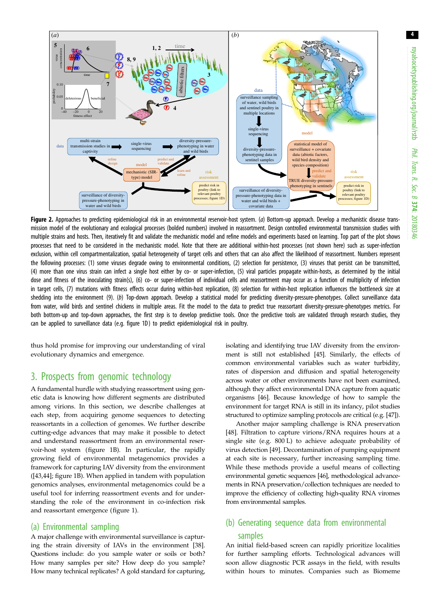<span id="page-5-0"></span>

Figure 2. Approaches to predicting epidemiological risk in an environmental reservoir-host system. (a) Bottom-up approach. Develop a mechanistic disease transmission model of the evolutionary and ecological processes (bolded numbers) involved in reassortment. Design controlled environmental transmission studies with multiple strains and hosts. Then, iteratively fit and validate the mechanistic model and refine models and experiments based on learning. Top part of the plot shows processes that need to be considered in the mechanistic model. Note that there are additional within-host processes (not shown here) such as super-infection exclusion, within cell compartmentalization, spatial heterogeneity of target cells and others that can also affect the likelihood of reassortment. Numbers represent the following processes: (1) some viruses degrade owing to environmental conditions, (2) selection for persistence, (3) viruses that persist can be transmitted, (4) more than one virus strain can infect a single host either by co- or super-infection, (5) viral particles propagate within-hosts, as determined by the initial dose and fitness of the inoculating strain(s), (6) co- or super-infection of individual cells and reassortment may occur as a function of multiplicity of infection in target cells, (7) mutations with fitness effects occur during within-host replication, (8) selection for within-host replication influences the bottleneck size at shedding into the environment (9). (b) Top-down approach. Develop a statistical model for predicting diversity-pressure-phenotypes. Collect surveillance data from water, wild birds and sentinel chickens in multiple areas. Fit the model to the data to predict true reassortant diversity-pressure-phenotypes metrics. For both bottom-up and top-down approaches, the first step is to develop predictive tools. Once the predictive tools are validated through research studies, they can be applied to surveillance data (e.g. [figure 1D](#page-3-0)) to predict epidemiological risk in poultry.

thus hold promise for improving our understanding of viral evolutionary dynamics and emergence.

## 3. Prospects from genomic technology

A fundamental hurdle with studying reassortment using genetic data is knowing how different segments are distributed among virions. In this section, we describe challenges at each step, from acquiring genome sequences to detecting reassortants in a collection of genomes. We further describe cutting-edge advances that may make it possible to detect and understand reassortment from an environmental reservoir-host system ([figure 1](#page-3-0)B). In particular, the rapidly growing field of environmental metagenomics provides a framework for capturing IAV diversity from the environment ([\[43](#page-10-0),[44\]](#page-10-0); [figure 1](#page-3-0)B). When applied in tandem with population genomics analyses, environmental metagenomics could be a useful tool for inferring reassortment events and for understanding the role of the environment in co-infection risk and reassortant emergence [\(figure 1](#page-3-0)).

#### (a) Environmental sampling

A major challenge with environmental surveillance is capturing the strain diversity of IAVs in the environment [\[38](#page-10-0)]. Questions include: do you sample water or soils or both? How many samples per site? How deep do you sample? How many technical replicates? A gold standard for capturing, isolating and identifying true IAV diversity from the environment is still not established [[45](#page-10-0)]. Similarly, the effects of common environmental variables such as water turbidity, rates of dispersion and diffusion and spatial heterogeneity across water or other environments have not been examined, although they affect environmental DNA capture from aquatic organisms [\[46](#page-10-0)]. Because knowledge of how to sample the environment for target RNA is still in its infancy, pilot studies structured to optimize sampling protocols are critical (e.g. [\[47\]](#page-10-0)).

Another major sampling challenge is RNA preservation [[48\]](#page-10-0). Filtration to capture virions/RNA requires hours at a single site (e.g. 800 L) to achieve adequate probability of virus detection [\[49](#page-10-0)]. Decontamination of pumping equipment at each site is necessary, further increasing sampling time. While these methods provide a useful means of collecting environmental genetic sequences [[46](#page-10-0)], methodological advancements in RNA preservation/collection techniques are needed to improve the efficiency of collecting high-quality RNA viromes from environmental samples.

## (b) Generating sequence data from environmental samples

An initial field-based screen can rapidly prioritize localities for further sampling efforts. Technological advances will soon allow diagnostic PCR assays in the field, with results within hours to minutes. Companies such as Biomeme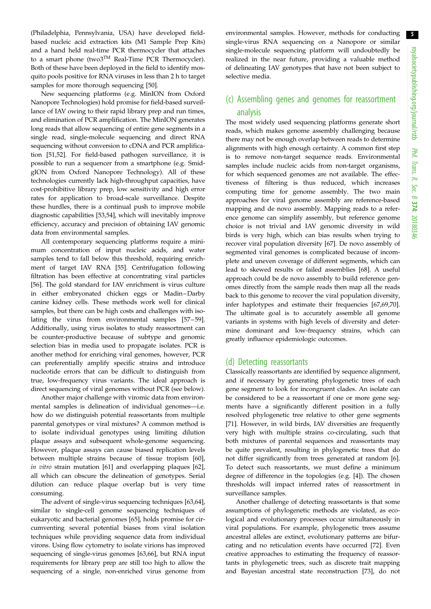(Philadelphia, Pennsylvania, USA) have developed fieldbased nucleic acid extraction kits (M1 Sample Prep Kits) and a hand held real-time PCR thermocycler that attaches to a smart phone (two3<sup>TM</sup> Real-Time PCR Thermocycler). Both of these have been deployed in the field to identify mosquito pools positive for RNA viruses in less than 2 h to target samples for more thorough sequencing [[50\]](#page-10-0).

New sequencing platforms (e.g. MinION from Oxford Nanopore Technologies) hold promise for field-based surveillance of IAV owing to their rapid library prep and run times, and elimination of PCR amplification. The MinION generates long reads that allow sequencing of entire gene segments in a single read, single-molecule sequencing and direct RNA sequencing without conversion to cDNA and PCR amplification [\[51,52](#page-10-0)]. For field-based pathogen surveillance, it is possible to run a sequencer from a smartphone (e.g. SmidgION from Oxford Nanopore Technology). All of these technologies currently lack high-throughput capacities, have cost-prohibitive library prep, low sensitivity and high error rates for application to broad-scale surveillance. Despite these hurdles, there is a continual push to improve mobile diagnostic capabilities [[53,54\]](#page-10-0), which will inevitably improve efficiency, accuracy and precision of obtaining IAV genomic data from environmental samples.

All contemporary sequencing platforms require a minimum concentration of input nucleic acids, and water samples tend to fall below this threshold, requiring enrichment of target IAV RNA [\[55](#page-10-0)]. Centrifugation following filtration has been effective at concentrating viral particles [\[56](#page-10-0)]. The gold standard for IAV enrichment is virus culture in either embryonated chicken eggs or Madin–Darby canine kidney cells. These methods work well for clinical samples, but there can be high costs and challenges with isolating the virus from environmental samples [[57](#page-10-0)–[59](#page-10-0)]. Additionally, using virus isolates to study reassortment can be counter-productive because of subtype and genomic selection bias in media used to propagate isolates. PCR is another method for enriching viral genomes, however, PCR can preferentially amplify specific strains and introduce nucleotide errors that can be difficult to distinguish from true, low-frequency virus variants. The ideal approach is direct sequencing of viral genomes without PCR (see below).

Another major challenge with viromic data from environmental samples is delineation of individual genomes—i.e. how do we distinguish potential reassortants from multiple parental genotypes or viral mixtures? A common method is to isolate individual genotypes using limiting dilution plaque assays and subsequent whole-genome sequencing. However, plaque assays can cause biased replication levels between multiple strains because of tissue tropism [\[60](#page-10-0)], in vitro strain mutation [\[61](#page-10-0)] and overlapping plaques [\[62](#page-10-0)], all which can obscure the delineation of genotypes. Serial dilution can reduce plaque overlap but is very time consuming.

The advent of single-virus sequencing techniques [\[63,64](#page-10-0)], similar to single-cell genome sequencing techniques of eukaryotic and bacterial genomes [\[65](#page-10-0)], holds promise for circumventing several potential biases from viral isolation techniques while providing sequence data from individual virons. Using flow cytometry to isolate virions has improved sequencing of single-virus genomes [[63,66\]](#page-10-0), but RNA input requirements for library prep are still too high to allow the sequencing of a single, non-enriched virus genome from environmental samples. However, methods for conducting single-virus RNA sequencing on a Nanopore or similar single-molecule sequencing platform will undoubtedly be realized in the near future, providing a valuable method of delineating IAV genotypes that have not been subject to selective media.

## (c) Assembling genes and genomes for reassortment analysis

The most widely used sequencing platforms generate short reads, which makes genome assembly challenging because there may not be enough overlap between reads to determine alignments with high enough certainty. A common first step is to remove non-target sequence reads. Environmental samples include nucleic acids from non-target organisms, for which sequenced genomes are not available. The effectiveness of filtering is thus reduced, which increases computing time for genome assembly. The two main approaches for viral genome assembly are reference-based mapping and de novo assembly. Mapping reads to a reference genome can simplify assembly, but reference genome choice is not trivial and IAV genomic diversity in wild birds is very high, which can bias results when trying to recover viral population diversity [\[67](#page-10-0)]. De novo assembly of segmented viral genomes is complicated because of incomplete and uneven coverage of different segments, which can lead to skewed results or failed assemblies [[68\]](#page-10-0). A useful approach could be de novo assembly to build reference genomes directly from the sample reads then map all the reads back to this genome to recover the viral population diversity, infer haplotypes and estimate their frequencies [\[67](#page-10-0)[,69](#page-11-0),[70\]](#page-11-0). The ultimate goal is to accurately assemble all genome variants in systems with high levels of diversity and determine dominant and low-frequency strains, which can greatly influence epidemiologic outcomes.

#### (d) Detecting reassortants

Classically reassortants are identified by sequence alignment, and if necessary by generating phylogenetic trees of each gene segment to look for incongruent clades. An isolate can be considered to be a reassortant if one or more gene segments have a significantly different position in a fully resolved phylogenetic tree relative to other gene segments [[71\]](#page-11-0). However, in wild birds, IAV diversities are frequently very high with multiple strains co-circulating, such that both mixtures of parental sequences and reassortants may be quite prevalent, resulting in phylogenetic trees that do not differ significantly from trees generated at random [\[6\]](#page-9-0). To detect such reassortants, we must define a minimum degree of difference in the topologies (e.g. [[4](#page-9-0)]). The chosen thresholds will impact inferred rates of reassortment in surveillance samples.

Another challenge of detecting reassortants is that some assumptions of phylogenetic methods are violated, as ecological and evolutionary processes occur simultaneously in viral populations. For example, phylogenetic trees assume ancestral alleles are extinct, evolutionary patterns are bifurcating and no reticulation events have occurred [[72\]](#page-11-0). Even creative approaches to estimating the frequency of reassortants in phylogenetic trees, such as discrete trait mapping and Bayesian ancestral state reconstruction [\[73](#page-11-0)], do not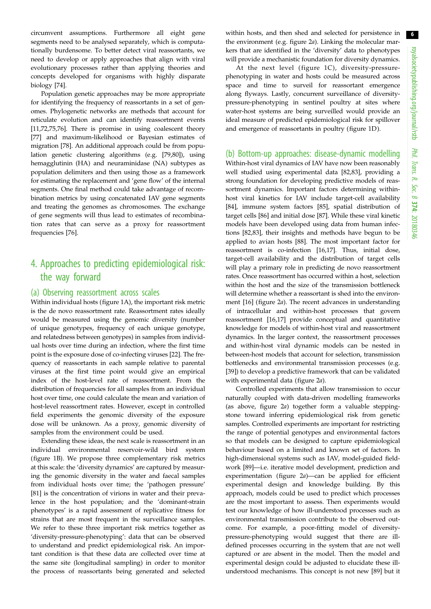circumvent assumptions. Furthermore all eight gene segments need to be analysed separately, which is computationally burdensome. To better detect viral reassortants, we need to develop or apply approaches that align with viral evolutionary processes rather than applying theories and concepts developed for organisms with highly disparate biology [\[74](#page-11-0)].

Population genetic approaches may be more appropriate for identifying the frequency of reassortants in a set of genomes. Phylogenetic networks are methods that account for reticulate evolution and can identify reassortment events [\[11](#page-9-0),[72,75,76](#page-11-0)]. There is promise in using coalescent theory [\[77](#page-11-0)] and maximum-likelihood or Bayesian estimates of migration [[78\]](#page-11-0). An additional approach could be from population genetic clustering algorithms (e.g. [[79,80\]](#page-11-0)), using hemagglutinin (HA) and neuraminidase (NA) subtypes as population delimiters and then using those as a framework for estimating the replacement and 'gene flow' of the internal segments. One final method could take advantage of recombination metrics by using concatenated IAV gene segments and treating the genomes as chromosomes. The exchange of gene segments will thus lead to estimates of recombination rates that can serve as a proxy for reassortment frequencies [[76](#page-11-0)].

## 4. Approaches to predicting epidemiological risk: the way forward

#### (a) Observing reassortment across scales

Within individual hosts [\(figure 1](#page-3-0)A), the important risk metric is the de novo reassortment rate. Reassortment rates ideally would be measured using the genomic diversity (number of unique genotypes, frequency of each unique genotype, and relatedness between genotypes) in samples from individual hosts over time during an infection, where the first time point is the exposure dose of co-infecting viruses [[22\]](#page-9-0). The frequency of reassortants in each sample relative to parental viruses at the first time point would give an empirical index of the host-level rate of reassortment. From the distribution of frequencies for all samples from an individual host over time, one could calculate the mean and variation of host-level reassortment rates. However, except in controlled field experiments the genomic diversity of the exposure dose will be unknown. As a proxy, genomic diversity of samples from the environment could be used.

Extending these ideas, the next scale is reassortment in an individual environmental reservoir-wild bird system [\(figure 1](#page-3-0)B). We propose three complementary risk metrics at this scale: the 'diversity dynamics' are captured by measuring the genomic diversity in the water and faecal samples from individual hosts over time; the 'pathogen pressure' [\[81](#page-11-0)] is the concentration of virions in water and their prevalence in the host population; and the 'dominant-strain phenotypes' is a rapid assessment of replicative fitness for strains that are most frequent in the surveillance samples. We refer to these three important risk metrics together as 'diversity-pressure-phenotyping': data that can be observed to understand and predict epidemiological risk. An important condition is that these data are collected over time at the same site (longitudinal sampling) in order to monitor the process of reassortants being generated and selected within hosts, and then shed and selected for persistence in the environment (e.g. [figure 2](#page-5-0)a). Linking the molecular markers that are identified in the 'diversity' data to phenotypes will provide a mechanistic foundation for diversity dynamics.

At the next level (figure 1C), diversity-pressurephenotyping in water and hosts could be measured across space and time to surveil for reassortant emergence along flyways. Lastly, concurrent surveillance of diversitypressure-phenotyping in sentinel poultry at sites where water-host systems are being surveilled would provide an ideal measure of predicted epidemiological risk for spillover and emergence of reassortants in poultry ([figure 1](#page-3-0)D).

#### (b) Bottom-up approaches: disease-dynamic modelling

Within-host viral dynamics of IAV have now been reasonably well studied using experimental data [\[82](#page-11-0),[83\]](#page-11-0), providing a strong foundation for developing predictive models of reassortment dynamics. Important factors determining withinhost viral kinetics for IAV include target-cell availability [[84\]](#page-11-0), immune system factors [\[85](#page-11-0)], spatial distribution of target cells [[86\]](#page-11-0) and initial dose [[87\]](#page-11-0). While these viral kinetic models have been developed using data from human infections [[82,83](#page-11-0)], their insights and methods have begun to be applied to avian hosts [[88\]](#page-11-0). The most important factor for reassortment is co-infection [[16,17](#page-9-0)]. Thus, initial dose, target-cell availability and the distribution of target cells will play a primary role in predicting de novo reassortment rates. Once reassortment has occurred within a host, selection within the host and the size of the transmission bottleneck will determine whether a reassortant is shed into the environment [\[16](#page-9-0)] [\(figure 2](#page-5-0)a). The recent advances in understanding of intracellular and within-host processes that govern reassortment [[16,17\]](#page-9-0) provide conceptual and quantitative knowledge for models of within-host viral and reassortment dynamics. In the larger context, the reassortment processes and within-host viral dynamic models can be nested in between-host models that account for selection, transmission bottlenecks and environmental transmission processes (e.g. [[39\]](#page-10-0)) to develop a predictive framework that can be validated with experimental data [\(figure 2](#page-5-0)a).

Controlled experiments that allow transmission to occur naturally coupled with data-driven modelling frameworks (as above, [figure 2](#page-5-0)a) together form a valuable steppingstone toward inferring epidemiological risk from genetic samples. Controlled experiments are important for restricting the range of potential genotypes and environmental factors so that models can be designed to capture epidemiological behaviour based on a limited and known set of factors. In high-dimensional systems such as IAV, model-guided fieldwork [[89\]](#page-11-0)—i.e. iterative model development, prediction and experimentation ([figure 2](#page-5-0)a)—can be applied for efficient experimental design and knowledge building. By this approach, models could be used to predict which processes are the most important to assess. Then experiments would test our knowledge of how ill-understood processes such as environmental transmission contribute to the observed outcome. For example, a poor-fitting model of diversitypressure-phenotyping would suggest that there are illdefined processes occurring in the system that are not well captured or are absent in the model. Then the model and experimental design could be adjusted to elucidate these illunderstood mechanisms. This concept is not new [[89\]](#page-11-0) but it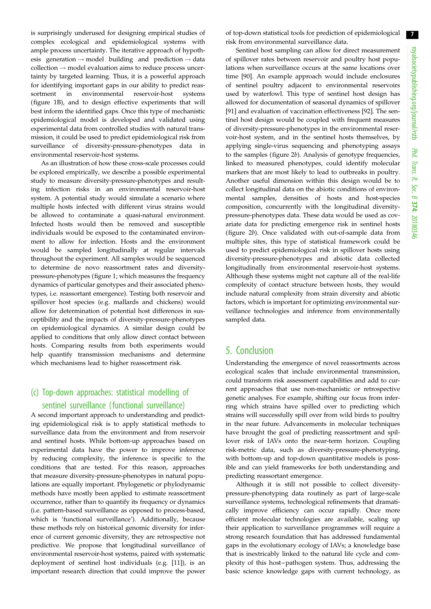is surprisingly underused for designing empirical studies of complex ecological and epidemiological systems with ample process uncertainty. The iterative approach of hypothesis generation  $\rightarrow$  model building and prediction  $\rightarrow$  data  $\text{collection} \rightarrow \text{model}$  evaluation aims to reduce process uncertainty by targeted learning. Thus, it is a powerful approach for identifying important gaps in our ability to predict reassortment in environmental reservoir-host systems [\(figure 1B](#page-3-0)), and to design effective experiments that will best inform the identified gaps. Once this type of mechanistic epidemiological model is developed and validated using experimental data from controlled studies with natural transmission, it could be used to predict epidemiological risk from surveillance of diversity-pressure-phenotypes data in environmental reservoir-host systems.

As an illustration of how these cross-scale processes could be explored empirically, we describe a possible experimental study to measure diversity-pressure-phenotypes and resulting infection risks in an environmental reservoir-host system. A potential study would simulate a scenario where multiple hosts infected with different virus strains would be allowed to contaminate a quasi-natural environment. Infected hosts would then be removed and susceptible individuals would be exposed to the contaminated environment to allow for infection. Hosts and the environment would be sampled longitudinally at regular intervals throughout the experiment. All samples would be sequenced to determine de novo reassortment rates and diversitypressure-phenotypes ([figure 1](#page-3-0); which measures the frequency dynamics of particular genotypes and their associated phenotypes, i.e. reassortant emergence). Testing both reservoir and spillover host species (e.g. mallards and chickens) would allow for determination of potential host differences in susceptibility and the impacts of diversity-pressure-phenotypes on epidemiological dynamics. A similar design could be applied to conditions that only allow direct contact between hosts. Comparing results from both experiments would help quantify transmission mechanisms and determine which mechanisms lead to higher reassortment risk.

## (c) Top-down approaches: statistical modelling of sentinel surveillance (functional surveillance)

A second important approach to understanding and predicting epidemiological risk is to apply statistical methods to surveillance data from the environment and from reservoir and sentinel hosts. While bottom-up approaches based on experimental data have the power to improve inference by reducing complexity, the inference is specific to the conditions that are tested. For this reason, approaches that measure diversity-pressure-phenotypes in natural populations are equally important. Phylogenetic or phylodynamic methods have mostly been applied to estimate reassortment occurrence, rather than to quantify its frequency or dynamics (i.e. pattern-based surveillance as opposed to process-based, which is 'functional surveillance'). Additionally, because these methods rely on historical genomic diversity for inference of current genomic diversity, they are retrospective not predictive. We propose that longitudinal surveillance of environmental reservoir-host systems, paired with systematic deployment of sentinel host individuals (e.g. [\[11](#page-9-0)]), is an important research direction that could improve the power of top-down statistical tools for prediction of epidemiological risk from environmental surveillance data.

Sentinel host sampling can allow for direct measurement of spillover rates between reservoir and poultry host populations when surveillance occurs at the same locations over time [\[90](#page-11-0)]. An example approach would include enclosures of sentinel poultry adjacent to environmental reservoirs used by waterfowl. This type of sentinel host design has allowed for documentation of seasonal dynamics of spillover [[91\]](#page-11-0) and evaluation of vaccination effectiveness [[92\]](#page-11-0). The sentinel host design would be coupled with frequent measures of diversity-pressure-phenotypes in the environmental reservoir-host system, and in the sentinel hosts themselves, by applying single-virus sequencing and phenotyping assays to the samples [\(figure 2](#page-5-0)b). Analysis of genotype frequencies, linked to measured phenotypes, could identify molecular markers that are most likely to lead to outbreaks in poultry. Another useful dimension within this design would be to collect longitudinal data on the abiotic conditions of environmental samples, densities of hosts and host-species composition, concurrently with the longitudinal diversitypressure-phenotypes data. These data would be used as covariate data for predicting emergence risk in sentinel hosts ([figure 2](#page-5-0)b). Once validated with out-of-sample data from multiple sites, this type of statistical framework could be used to predict epidemiological risk in spillover hosts using diversity-pressure-phenotypes and abiotic data collected longitudinally from environmental reservoir-host systems. Although these systems might not capture all of the real-life complexity of contact structure between hosts, they would include natural complexity from strain diversity and abiotic factors, which is important for optimizing environmental surveillance technologies and inference from environmentally sampled data.

## 5. Conclusion

Understanding the emergence of novel reassortments across ecological scales that include environmental transmission, could transform risk assessment capabilities and add to current approaches that use non-mechanistic or retrospective genetic analyses. For example, shifting our focus from inferring which strains have spilled over to predicting which strains will successfully spill over from wild birds to poultry in the near future. Advancements in molecular techniques have brought the goal of predicting reassortment and spillover risk of IAVs onto the near-term horizon. Coupling risk-metric data, such as diversity-pressure-phenotyping, with bottom-up and top-down quantitative models is possible and can yield frameworks for both understanding and predicting reassortant emergence.

Although it is still not possible to collect diversitypressure-phenotyping data routinely as part of large-scale surveillance systems, technological refinements that dramatically improve efficiency can occur rapidly. Once more efficient molecular technologies are available, scaling up their application to surveillance programmes will require a strong research foundation that has addressed fundamental gaps in the evolutionary ecology of IAVs; a knowledge base that is inextricably linked to the natural life cycle and complexity of this host-pathogen system. Thus, addressing the basic science knowledge gaps with current technology, as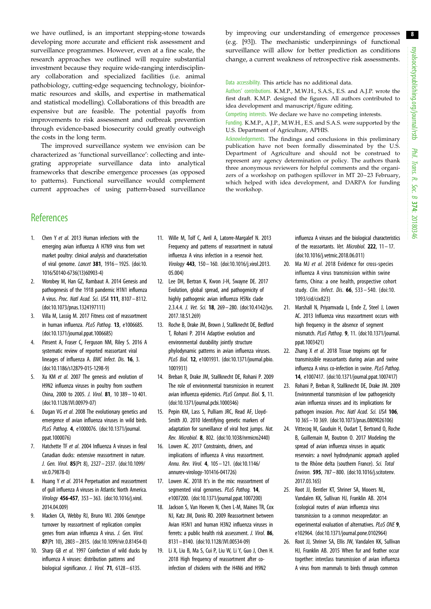<span id="page-9-0"></span>we have outlined, is an important stepping-stone towards developing more accurate and efficient risk assessment and surveillance programmes. However, even at a fine scale, the research approaches we outlined will require substantial investment because they require wide-ranging interdisciplinary collaboration and specialized facilities (i.e. animal pathobiology, cutting-edge sequencing technology, bioinformatic resources and skills, and expertise in mathematical and statistical modelling). Collaborations of this breadth are expensive but are feasible. The potential payoffs from improvements to risk assessment and outbreak prevention through evidence-based biosecurity could greatly outweigh the costs in the long term.

The improved surveillance system we envision can be characterized as 'functional surveillance': collecting and integrating appropriate surveillance data into analytical frameworks that describe emergence processes (as opposed to patterns). Functional surveillance would complement current approaches of using pattern-based surveillance by improving our understanding of emergence processes (e.g. [[93\]](#page-11-0)). The mechanistic underpinnings of functional surveillance will allow for better prediction as conditions change, a current weakness of retrospective risk assessments.

Data accessibility. This article has no additional data.

Authors' contributions. K.M.P., M.W.H., S.A.S., E.S. and A.J.P. wrote the first draft. K.M.P. designed the figures. All authors contributed to idea development and manuscript/figure editing.

Competing interests. We declare we have no competing interests.

Funding. K.M.P., A.J.P., M.W.H., E.S. and S.A.S. were supported by the U.S. Department of Agriculture, APHIS.

Acknowledgements. The findings and conclusions in this preliminary publication have not been formally disseminated by the U.S. Department of Agriculture and should not be construed to represent any agency determination or policy. The authors thank three anonymous reviewers for helpful comments and the organizers of a workshop on pathogen spillover in MT 20-23 February, which helped with idea development, and DARPA for funding the workshop.

## **References**

- 1. Chen Y et al. 2013 Human infections with the emerging avian influenza A H7N9 virus from wet market poultry: clinical analysis and characterisation of viral genome. Lancet 381, 1916 – 1925. [\(doi:10.](http://dx.doi.org/10.1016/S0140-6736(13)60903-4) [1016/S0140-6736\(13\)60903-4\)](http://dx.doi.org/10.1016/S0140-6736(13)60903-4)
- 2. Worobey M, Han GZ, Rambaut A. 2014 Genesis and pathogenesis of the 1918 pandemic H1N1 influenza A virus. Proc. Natl Acad. Sci. USA 111, 8107 – 8112. [\(doi:10.1073/pnas.1324197111](http://dx.doi.org/10.1073/pnas.1324197111))
- 3. Villa M, Lassig M. 2017 Fitness cost of reassortment in human influenza. PLoS Pathog. 13, e1006685. [\(doi:10.1371/journal.ppat.1006685](http://dx.doi.org/10.1371/journal.ppat.1006685))
- 4. Pinsent A, Fraser C, Ferguson NM, Riley S. 2016 A systematic review of reported reassortant viral lineages of influenza A. BMC Infect. Dis. 16, 3. [\(doi:10.1186/s12879-015-1298-9\)](http://dx.doi.org/10.1186/s12879-015-1298-9)
- 5. Xu KM et al. 2007 The genesis and evolution of H9N2 influenza viruses in poultry from southern China, 2000 to 2005. J. Virol. 81, 10 389– 10 401. [\(doi:10.1128/JVI.00979-07\)](http://dx.doi.org/10.1128/JVI.00979-07)
- 6. Dugan VG et al. 2008 The evolutionary genetics and emergence of avian influenza viruses in wild birds. PLoS Pathog. 4, e1000076. [\(doi:10.1371/journal.](http://dx.doi.org/10.1371/journal.ppat.1000076) [ppat.1000076\)](http://dx.doi.org/10.1371/journal.ppat.1000076)
- 7. Hatchette TF et al. 2004 Influenza A viruses in feral Canadian ducks: extensive reassortment in nature. J. Gen. Virol. 85(Pt 8), 2327 – 2337. ([doi:10.1099/](http://dx.doi.org/10.1099/vir.0.79878-0) [vir.0.79878-0](http://dx.doi.org/10.1099/vir.0.79878-0))
- 8. Huang Y et al. 2014 Perpetuation and reassortment of gull influenza A viruses in Atlantic North America. Virology 456-457, 353– 363. ([doi:10.1016/j.virol.](http://dx.doi.org/10.1016/j.virol.2014.04.009) [2014.04.009\)](http://dx.doi.org/10.1016/j.virol.2014.04.009)
- 9. Macken CA, Webby RJ, Bruno WJ. 2006 Genotype turnover by reassortment of replication complex genes from avian influenza A virus. J. Gen. Virol. 87(Pt 10), 2803 – 2815. [\(doi:10.1099/vir.0.81454-0\)](http://dx.doi.org/10.1099/vir.0.81454-0)
- 10. Sharp GB et al. 1997 Coinfection of wild ducks by influenza A viruses: distribution patterns and biological significance. J. Virol. 71, 6128-6135.
- 11. Wille M, Tolf C, Avril A, Latorre-Margalef N. 2013 Frequency and patterns of reassortment in natural influenza A virus infection in a reservoir host. Virology 443, 150– 160. [\(doi:10.1016/j.virol.2013.](http://dx.doi.org/10.1016/j.virol.2013.05.004) [05.004](http://dx.doi.org/10.1016/j.virol.2013.05.004))
- 12. Lee DH, Bertran K, Kwon J-H, Swayne DE. 2017 Evolution, global spread, and pathogenicity of highly pathogenic avian influenza H5Nx clade 2.3.4.4. J. Vet. Sci. 18, 269– 280. ([doi:10.4142/jvs.](http://dx.doi.org/10.4142/jvs.2017.18.S1.269) [2017.18.S1.269\)](http://dx.doi.org/10.4142/jvs.2017.18.S1.269)
- 13. Roche B, Drake JM, Brown J, Stallknecht DE, Bedford T, Rohani P. 2014 Adaptive evolution and environmental durability jointly structure phylodynamic patterns in avian influenza viruses. PLoS Biol. 12, e1001931. ([doi:10.1371/journal.pbio.](http://dx.doi.org/10.1371/journal.pbio.1001931) [1001931\)](http://dx.doi.org/10.1371/journal.pbio.1001931)
- 14. Breban R, Drake JM, Stallknecht DE, Rohani P. 2009 The role of environmental transmission in recurrent avian influenza epidemics. PLoS Comput. Biol. 5, 11. [\(doi:10.1371/journal.pcbi.1000346](http://dx.doi.org/10.1371/journal.pcbi.1000346))
- 15. Pepin KM, Lass S, Pulliam JRC, Read AF, Lloyd-Smith JO. 2010 Identifying genetic markers of adaptation for surveillance of viral host jumps. Nat. Rev. Microbiol. 8, 802. ([doi:10.1038/nrmicro2440\)](http://dx.doi.org/10.1038/nrmicro2440)
- 16. Lowen AC. 2017 Constraints, drivers, and implications of influenza A virus reassortment. Annu. Rev. Virol. 4, 105– 121. ([doi:10.1146/](http://dx.doi.org/10.1146/annurev-virology-101416-041726) [annurev-virology-101416-041726\)](http://dx.doi.org/10.1146/annurev-virology-101416-041726)
- 17. Lowen AC. 2018 It's in the mix: reassortment of segmented viral genomes. PLoS Pathog. 14, e1007200. ([doi:10.1371/journal.ppat.1007200\)](http://dx.doi.org/10.1371/journal.ppat.1007200)
- 18. Jackson S, Van Hoeven N, Chen L-M, Maines TR, Cox NJ, Katz JM, Donis RO. 2009 Reassortment between Avian H5N1 and human H3N2 influenza viruses in ferrets: a public health risk assessment. J. Virol. 86, 8131– 8140. [\(doi:10.1128/JVI.00534-09](http://dx.doi.org/10.1128/JVI.00534-09))
- 19. Li X, Liu B, Ma S, Cui P, Liu W, Li Y, Guo J, Chen H. 2018 High frequency of reassortment after coinfection of chickens with the H4N6 and H9N2

influenza A viruses and the biological characteristics of the reassortants. Vet. Microbiol. 222, 11– 17. ([doi:10.1016/j.vetmic.2018.06.011](http://dx.doi.org/10.1016/j.vetmic.2018.06.011))

- 20. Ma MJ et al. 2018 Evidence for cross-species influenza A virus transmission within swine farms, China: a one health, prospective cohort study. Clin. Infect. Dis. 66, 533 – 540. ([doi:10.](http://dx.doi.org/10.1093/cid/cix823) [1093/cid/cix823](http://dx.doi.org/10.1093/cid/cix823))
- 21. Marshall N, Priyamvada L, Ende Z, Steel J, Lowen AC. 2013 Influenza virus reassortment occurs with high frequency in the absence of segment mismatch. PLoS Pathog. 9, 11. [\(doi:10.1371/journal.](http://dx.doi.org/10.1371/journal.ppat.1003421) [ppat.1003421](http://dx.doi.org/10.1371/journal.ppat.1003421))
- 22. Zhang X et al. 2018 Tissue tropisms opt for transmissible reassortants during avian and swine influenza A virus co-infection in swine. PLoS Pathog. 14, e1007417. ([doi:10.1371/journal.ppat.1007417\)](http://dx.doi.org/10.1371/journal.ppat.1007417)
- 23. Rohani P, Breban R, Stallknecht DE, Drake JM. 2009 Environmental transmission of low pathogenicity avian influenza viruses and its implications for pathogen invasion. Proc. Natl Acad. Sci. USA 106, 10 365 – 10 369. [\(doi:10.1073/pnas.0809026106](http://dx.doi.org/10.1073/pnas.0809026106))
- 24. Vittecoq M, Gauduin H, Oudart T, Bertrand O, Roche B, Guillemain M, Boutron O. 2017 Modeling the spread of avian influenza viruses in aquatic reservoirs: a novel hydrodynamic approach applied to the Rhône delta (southern France). Sci. Total Environ. 595, 787– 800. ([doi:10.1016/j.scitotenv.](http://dx.doi.org/10.1016/j.scitotenv.2017.03.165) [2017.03.165](http://dx.doi.org/10.1016/j.scitotenv.2017.03.165))
- 25. Root JJ, Bentler KT, Shriner SA, Mooers NL, Vandalen KK, Sullivan HJ, Franklin AB. 2014 Ecological routes of avian influenza virus transmission to a common mesopredator: an experimental evaluation of alternatives. PLoS ONE 9, e102964. [\(doi:10.1371/journal.pone.0102964](http://dx.doi.org/10.1371/journal.pone.0102964))
- 26. Root JJ, Shriner SA, Ellis JW, Vandalen KK, Sullivan HJ, Franklin AB. 2015 When fur and feather occur together: interclass transmission of avian influenza A virus from mammals to birds through common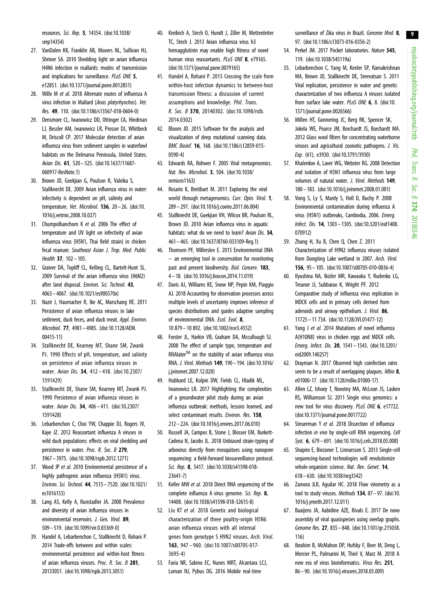<span id="page-10-0"></span>resources. Sci. Rep. 5, 14354. [\(doi:10.1038/](http://dx.doi.org/10.1038/srep14354) [srep14354](http://dx.doi.org/10.1038/srep14354))

- 27. VanDalen KK, Franklin AB, Mooers NL, Sullivan HJ, Shriner SA. 2010 Shedding light on avian influenza H4N6 infection in mallards: modes of transmission and implications for surveillance. PLoS ONE 5, e12851. [\(doi:10.1371/journal.pone.0012851](http://dx.doi.org/10.1371/journal.pone.0012851))
- 28. Wille M et al. 2018 Alternate routes of influenza A virus infection in Mallard (Anas platyrhynchos). Vet. Res. 49, 110. ([doi:10.1186/s13567-018-0604-0](http://dx.doi.org/10.1186/s13567-018-0604-0))
- 29. Densmore CL, Iwanowicz DD, Ottinger CA, Hindman LJ, Bessler AM, Iwanowicz LR, Prosser DJ, Whitbeck M, Driscoll CP. 2017 Molecular detection of avian influenza virus from sediment samples in waterfowl habitats on the Delmarva Peninsula, United States. Avian Dis. 61, 520– 525. [\(doi:10.1637/11687-](http://dx.doi.org/10.1637/11687-060917-ResNote.1) [060917-ResNote.1\)](http://dx.doi.org/10.1637/11687-060917-ResNote.1)
- 30. Brown JD, Goekjian G, Poulson R, Valeika S, Stallknecht DE. 2009 Avian influenza virus in water: infectivity is dependent on pH, salinity and temperature. Vet. Microbiol.  $136$ ,  $20-26$ . ([doi:10.](http://dx.doi.org/10.1016/j.vetmic.2008.10.027) [1016/j.vetmic.2008.10.027\)](http://dx.doi.org/10.1016/j.vetmic.2008.10.027)
- 31. Chumpolbanchorn K et al. 2006 The effect of temperature and UV light on infectivity of avian influenza virus (H5N1, Thai field strain) in chicken fecal manure. Southeast Asian J. Trop. Med. Public Health 37, 102-105.
- 32. Graiver DA, Topliff CL, Kelling CL, Bartelt-Hunt SL. 2009 Survival of the avian influenza virus (H6N2) after land disposal. Environ. Sci. Technol. 43, 4063 – 4067. [\(doi:10.1021/es900370x\)](http://dx.doi.org/10.1021/es900370x)
- 33. Nazir J, Haumacher R, Ike AC, Marschang RE. 2011 Persistence of avian influenza viruses in lake sediment, duck feces, and duck meat. Appl. Environ. Microbiol. 77, 4981– 4985. ([doi:10.1128/AEM.](http://dx.doi.org/10.1128/AEM.00415-11) [00415-11](http://dx.doi.org/10.1128/AEM.00415-11))
- 34. Stallknecht DE, Kearney MT, Shane SM, Zwank PJ. 1990 Effects of pH, temperature, and salinity on persistence of avian influenza viruses in water. Avian Dis. 34, 412 – 418. [\(doi:10.2307/](http://dx.doi.org/10.2307/1591429) [1591429](http://dx.doi.org/10.2307/1591429))
- 35. Stallknecht DE, Shane SM, Kearney MT, Zwank PJ. 1990 Persistence of avian influenza viruses in water. Avian Dis. 34, 406 – 411. ([doi:10.2307/](http://dx.doi.org/10.2307/1591428) [1591428](http://dx.doi.org/10.2307/1591428))
- 36. Lebarbenchon C, Choi YW, Chappie DJ, Rogers JV, Kaye JZ. 2012 Reassortant influenza A viruses in wild duck populations: effects on viral shedding and persistence in water. Proc. R. Soc. B 279, 3967 – 3975. [\(doi:10.1098/rspb.2012.1271](http://dx.doi.org/10.1098/rspb.2012.1271))
- 37. Wood JP et al. 2010 Environmental persistence of a highly pathogenic avian influenza (H5N1) virus. Environ. Sci. Technol. 44, 7515– 7520. ([doi:10.1021/](http://dx.doi.org/10.1021/es1016153) [es1016153](http://dx.doi.org/10.1021/es1016153))
- 38. Lang AS, Kelly A, Runstadler JA. 2008 Prevalence and diversity of avian influenza viruses in environmental reservoirs. J. Gen. Virol. 89. 509– 519. ([doi:10.1099/vir.0.83369-0](http://dx.doi.org/10.1099/vir.0.83369-0))
- 39. Handel A, Lebarbenchon C, Stallknecht D, Rohani P. 2014 Trade-offs between and within scales: environmental persistence and within-host fitness of avian influenza viruses. Proc. R. Soc. B 281, 20133051. [\(doi:10.1098/rspb.2013.3051\)](http://dx.doi.org/10.1098/rspb.2013.3051)
- 40. Kreibich A, Stech O, Hundt J, Ziller M, Mettenleiter TC, Stech J. 2013 Avian influenza virus h3 hemagglutinin may enable high fitness of novel human virus reassortants. PLoS ONE 8, e79165. [\(doi:10.1371/journal.pone.0079165\)](http://dx.doi.org/10.1371/journal.pone.0079165)
- 41. Handel A, Rohani P. 2015 Crossing the scale from within-host infection dynamics to between-host transmission fitness: a discussion of current assumptions and knowledge. Phil. Trans. R. Soc. B 370, 20140302. [\(doi:10.1098/rstb.](http://dx.doi.org/10.1098/rstb.2014.0302) [2014.0302](http://dx.doi.org/10.1098/rstb.2014.0302))
- 42. Bloom JD. 2015 Software for the analysis and visualization of deep mutational scanning data. BMC Bioinf. 16, 168. [\(doi:10.1186/s12859-015-](http://dx.doi.org/10.1186/s12859-015-0590-4) [0590-4](http://dx.doi.org/10.1186/s12859-015-0590-4))
- 43. Edwards RA, Rohwer F. 2005 Viral metagenomics. Nat. Rev. Microbiol. 3, 504. ([doi:10.1038/](http://dx.doi.org/10.1038/nrmicro1163) [nrmicro1163](http://dx.doi.org/10.1038/nrmicro1163))
- 44. Rosario K, Breitbart M. 2011 Exploring the viral world through metagenomics. Curr. Opin. Virol. 1, 289 – 297. [\(doi:10.1016/j.coviro.2011.06.004\)](http://dx.doi.org/10.1016/j.coviro.2011.06.004)
- 45. Stallknecht DE, Goekjian VH, Wilcox BR, Poulson RL, Brown JD. 2010 Avian influenza virus in aquatic habitats: what do we need to learn? Avian Dis. 54, 461 – 465. [\(doi:10.1637/8760-033109-Reg.1\)](http://dx.doi.org/10.1637/8760-033109-Reg.1)
- 46. Thomsen PF, Willerslev E. 2015 Environmental DNA – an emerging tool in conservation for monitoring past and present biodiversity. Biol. Consery. 183, 4 – 18. [\(doi:10.1016/j.biocon.2014.11.019\)](http://dx.doi.org/10.1016/j.biocon.2014.11.019)
- 47. Davis AJ, Williams KE, Snow NP, Pepin KM, Piaggio AJ. 2018 Accounting for observation processes across multiple levels of uncertainty improves inference of species distributions and guides adaptive sampling of environmental DNA. Ecol. Evol. 8. 10 879– 10 892. [\(doi:10.1002/ece3.4552\)](http://dx.doi.org/10.1002/ece3.4552)
- 48. Forster JL, Harkin VB, Graham DA, Mccullough SJ. 2008 The effect of sample type, temperature and RNAlater<sup>™</sup> on the stability of avian influenza virus RNA. J. Virol. Methods 149, 190– 194. [\(doi:10.1016/](http://dx.doi.org/10.1016/j.jviromet.2007.12.020) [j.jviromet.2007.12.020](http://dx.doi.org/10.1016/j.jviromet.2007.12.020))
- 49. Hubbard LE, Kolpin DW, Fields CL, Hladik ML, Iwanowicz LR. 2017 Highlighting the complexities of a groundwater pilot study during an avian influenza outbreak: methods, lessons learned, and select contaminant results. Environ. Res. 158, 212 – 224. [\(doi:10.1016/j.envres.2017.06.010](http://dx.doi.org/10.1016/j.envres.2017.06.010))
- 50. Russell JA, Campos B, Stone J, Blosser EM, Burkett-Cadena N, Jacobs JL. 2018 Unbiased strain-typing of arbovirus directly from mosquitoes using nanopore sequencing: a field-forward biosurveillance protocol. Sci. Rep. 8, 5417. ([doi:10.1038/s41598-018-](http://dx.doi.org/10.1038/s41598-018-23641-7) [23641-7\)](http://dx.doi.org/10.1038/s41598-018-23641-7)
- 51. Keller MW et al. 2018 Direct RNA sequencing of the complete influenza A virus genome. Sci. Rep. 8, 14408. ([doi:10.1038/s41598-018-32615-8](http://dx.doi.org/10.1038/s41598-018-32615-8))
- 52. Liu KT et al. 2018 Genetic and biological characterization of three poultry-origin H5N6 avian influenza viruses with all internal genes from genotype S H9N2 viruses. Arch. Virol. 163, 947 – 960. ([doi:10.1007/s00705-017-](http://dx.doi.org/10.1007/s00705-017-3695-4) [3695-4](http://dx.doi.org/10.1007/s00705-017-3695-4))
- 53. Faria NR, Sabino EC, Nunes MRT, Alcantara LCJ, Loman NJ, Pybus OG. 2016 Mobile real-time

surveillance of Zika virus in Brazil. Genome Med. 8, 97. [\(doi:10.1186/s13073-016-0356-2\)](http://dx.doi.org/10.1186/s13073-016-0356-2)

- 54. Perkel JM. 2017 Pocket laboratories. Nature 545, 119. ([doi:10.1038/545119a\)](http://dx.doi.org/10.1038/545119a)
- 55. Lebarbenchon C, Yang M, Keeler SP, Ramakrishnan MA, Brown JD, Stallknecht DE, Sreevatsan S. 2011 Viral replication, persistence in water and genetic characterization of two influenza A viruses isolated from surface lake water. PLoS ONE 6, 8. ([doi:10.](http://dx.doi.org/10.1371/journal.pone.0026566) [1371/journal.pone.0026566](http://dx.doi.org/10.1371/journal.pone.0026566))
- 56. Millen HT, Gonnering JC, Berg RK, Spencer SK, Jokela WE, Pearce JM, Borchardt JS, Borchardt MA. 2012 Glass wool filters for concentrating waterborne viruses and agricultural zoonotic pathogens. J. Vis. Exp. (61), e3930. [\(doi:10.3791/3930](http://dx.doi.org/10.3791/3930))
- 57. Khalenkov A, Laver WG, Webster RG. 2008 Detection and isolation of H5N1 influenza virus from large volumes of natural water. J. Virol. Methods 149, 180– 183. [\(doi:10.1016/j.jviromet.2008.01.001](http://dx.doi.org/10.1016/j.jviromet.2008.01.001))
- 58. Vong S, Ly S, Mardy S, Holl D, Buchy P. 2008 Environmental contamination during influenza A virus (H5N1) outbreaks, Cambodia, 2006. Emerg. Infect. Dis. 14, 1303 – 1305. [\(doi:10.3201/eid1408.](http://dx.doi.org/10.3201/eid1408.070912) [070912\)](http://dx.doi.org/10.3201/eid1408.070912)
- 59. Zhang H, Xu B, Chen Q, Chen Z. 2011 Characterization of H9N2 influenza viruses isolated from Dongting Lake wetland in 2007. Arch. Virol. 156, 95– 105. ([doi:10.1007/s00705-010-0836-4\)](http://dx.doi.org/10.1007/s00705-010-0836-4)
- 60. Ilyushina NA, Ikizler MR, Kawaoka Y, Rudenko LG, Treanor JJ, Subbarao K, Wright PF. 2012 Comparative study of influenza virus replication in MDCK cells and in primary cells derived from adenoids and airway epithelium. J. Virol. 86, 11725– 11 734. [\(doi:10.1128/JVI.01477-12\)](http://dx.doi.org/10.1128/JVI.01477-12)
- 61. Yang J et al. 2014 Mutations of novel influenza A(H10N8) virus in chicken eggs and MDCK cells. Emerg. Infect. Dis. 20, 1541 – 1543. ([doi:10.3201/](http://dx.doi.org/10.3201/eid2009.140257) [eid2009.140257](http://dx.doi.org/10.3201/eid2009.140257))
- 62. Drayman N. 2017 Observed high coinfection rates seem to be a result of overlapping plaques. Mbio 8. e01000-17. ([doi:10.1128/mBio.01000-17](http://dx.doi.org/10.1128/mBio.01000-17))
- 63. Allen LZ, Ishoey T, Novotny MA, McLean JS, Lasken RS, Williamson SJ. 2011 Single virus genomics: a new tool for virus discovery. PLoS ONE 6, e17722. ([doi:10.1371/journal.pone.0017722](http://dx.doi.org/10.1371/journal.pone.0017722))
- 64. Steuerman Y et al. 2018 Dissection of influenza infection *in vivo* by single-cell RNA sequencing. Cell Syst. 6, 679– 691. ([doi:10.1016/j.cels.2018.05.008\)](http://dx.doi.org/10.1016/j.cels.2018.05.008)
- 65. Shapiro E, Biezuner T, Linnarsson S. 2013 Single-cell sequencing-based technologies will revolutionize whole-organism science. Nat. Rev. Genet. 14. 618– 630. [\(doi:10.1038/nrg3542\)](http://dx.doi.org/10.1038/nrg3542)
- 66. Zamora JLR, Aguilar HC. 2018 Flow virometry as a tool to study viruses. Methods  $134$ ,  $87 - 97$ . [\(doi:10.](http://dx.doi.org/10.1016/j.ymeth.2017.12.011) [1016/j.ymeth.2017.12.011](http://dx.doi.org/10.1016/j.ymeth.2017.12.011))
- 67. Baaijens JA, Aabidine AZE, Rivals E. 2017 De novo assembly of viral quasispecies using overlap graphs. Genome Res. 27, 835– 848. ([doi:10.1101/gr.215038.](http://dx.doi.org/10.1101/gr.215038.116) [116\)](http://dx.doi.org/10.1101/gr.215038.116)
- 68. Ibrahim B, McMahon DP, Hufsky F, Beer M, Deng L, Mercier PL, Palmarini M, Thiel V, Marz M. 2018 A new era of virus bioinformatics. Virus Res. 251, 86– 90. [\(doi:10.1016/j.virusres.2018.05.009](http://dx.doi.org/10.1016/j.virusres.2018.05.009))